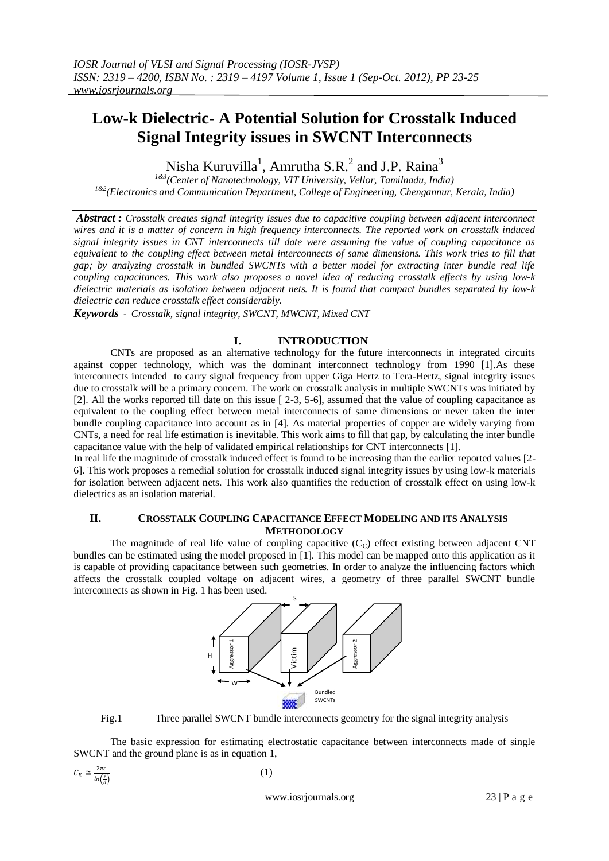# **Low-k Dielectric- A Potential Solution for Crosstalk Induced Signal Integrity issues in SWCNT Interconnects**

Nisha Kuruvilla<sup>1</sup>, Amrutha S.R.<sup>2</sup> and J.P. Raina<sup>3</sup>

*1&3(Center of Nanotechnology, VIT University, Vellor, Tamilnadu, India) 1&2(Electronics and Communication Department, College of Engineering, Chengannur, Kerala, India)*

*Abstract : Crosstalk creates signal integrity issues due to capacitive coupling between adjacent interconnect wires and it is a matter of concern in high frequency interconnects. The reported work on crosstalk induced signal integrity issues in CNT interconnects till date were assuming the value of coupling capacitance as equivalent to the coupling effect between metal interconnects of same dimensions. This work tries to fill that gap; by analyzing crosstalk in bundled SWCNTs with a better model for extracting inter bundle real life coupling capacitances. This work also proposes a novel idea of reducing crosstalk effects by using low-k dielectric materials as isolation between adjacent nets. It is found that compact bundles separated by low-k dielectric can reduce crosstalk effect considerably.* 

*Keywords - Crosstalk, signal integrity, SWCNT, MWCNT, Mixed CNT*

## **I. INTRODUCTION**

CNTs are proposed as an alternative technology for the future interconnects in integrated circuits against copper technology, which was the dominant interconnect technology from 1990 [1].As these interconnects intended to carry signal frequency from upper Giga Hertz to Tera-Hertz, signal integrity issues due to crosstalk will be a primary concern. The work on crosstalk analysis in multiple SWCNTs was initiated by [2]. All the works reported till date on this issue [ 2-3, 5-6], assumed that the value of coupling capacitance as equivalent to the coupling effect between metal interconnects of same dimensions or never taken the inter bundle coupling capacitance into account as in [4]. As material properties of copper are widely varying from CNTs, a need for real life estimation is inevitable. This work aims to fill that gap, by calculating the inter bundle capacitance value with the help of validated empirical relationships for CNT interconnects [1].

In real life the magnitude of crosstalk induced effect is found to be increasing than the earlier reported values [2- 6]. This work proposes a remedial solution for crosstalk induced signal integrity issues by using low-k materials for isolation between adjacent nets. This work also quantifies the reduction of crosstalk effect on using low-k dielectrics as an isolation material.

### **II. CROSSTALK COUPLING CAPACITANCE EFFECT MODELING AND ITS ANALYSIS METHODOLOGY**

The magnitude of real life value of coupling capacitive  $(C<sub>C</sub>)$  effect existing between adjacent CNT bundles can be estimated using the model proposed in [1]. This model can be mapped onto this application as it is capable of providing capacitance between such geometries. In order to analyze the influencing factors which affects the crosstalk coupled voltage on adjacent wires, a geometry of three parallel SWCNT bundle interconnects as shown in Fig. 1 has been used.



Fig.1 Three parallel SWCNT bundle interconnects geometry for the signal integrity analysis

The basic expression for estimating electrostatic capacitance between interconnects made of single SWCNT and the ground plane is as in equation 1,

$$
C_E \cong \frac{2\pi\varepsilon}{\ln\left(\frac{y}{d}\right)}
$$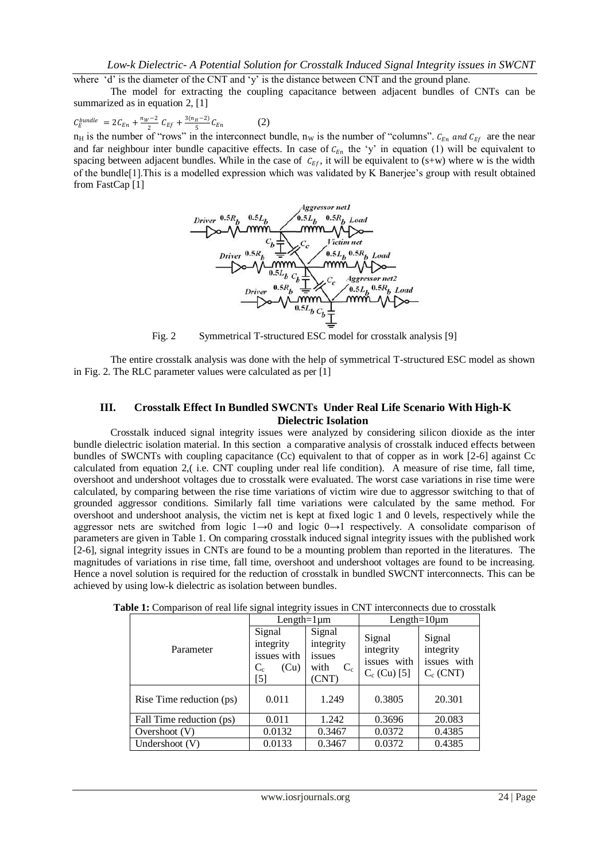where 'd' is the diameter of the CNT and 'y' is the distance between CNT and the ground plane.

The model for extracting the coupling capacitance between adjacent bundles of CNTs can be summarized as in equation 2, [1]

$$
C_E^{bundle} = 2C_{En} + \frac{n_W - 2}{2} C_{Ef} + \frac{3(n_H - 2)}{5} C_{En}
$$
 (2)

 $n_H$  is the number of "rows" in the interconnect bundle,  $n_W$  is the number of "columns".  $C_{En}$  and  $C_{Ef}$  are the near and far neighbour inter bundle capacitive effects. In case of  $C_{En}$  the 'y' in equation (1) will be equivalent to spacing between adjacent bundles. While in the case of  $C_{Ef}$ , it will be equivalent to (s+w) where w is the width of the bundle[1].This is a modelled expression which was validated by K Banerjee"s group with result obtained from FastCap [1]



Fig. 2 Symmetrical T-structured ESC model for crosstalk analysis [9]

The entire crosstalk analysis was done with the help of symmetrical T-structured ESC model as shown in Fig. 2. The RLC parameter values were calculated as per [1]

## **III. Crosstalk Effect In Bundled SWCNTs Under Real Life Scenario With High-K Dielectric Isolation**

Crosstalk induced signal integrity issues were analyzed by considering silicon dioxide as the inter bundle dielectric isolation material. In this section a comparative analysis of crosstalk induced effects between bundles of SWCNTs with coupling capacitance (Cc) equivalent to that of copper as in work [2-6] against Cc calculated from equation 2,( i.e. CNT coupling under real life condition). A measure of rise time, fall time, overshoot and undershoot voltages due to crosstalk were evaluated. The worst case variations in rise time were calculated, by comparing between the rise time variations of victim wire due to aggressor switching to that of grounded aggressor conditions. Similarly fall time variations were calculated by the same method. For overshoot and undershoot analysis, the victim net is kept at fixed logic 1 and 0 levels, respectively while the aggressor nets are switched from logic  $1\rightarrow 0$  and logic  $0\rightarrow 1$  respectively. A consolidate comparison of parameters are given in Table 1. On comparing crosstalk induced signal integrity issues with the published work [2-6], signal integrity issues in CNTs are found to be a mounting problem than reported in the literatures. The magnitudes of variations in rise time, fall time, overshoot and undershoot voltages are found to be increasing. Hence a novel solution is required for the reduction of crosstalk in bundled SWCNT interconnects. This can be achieved by using low-k dielectric as isolation between bundles.

|                          | Length= $1 \mu m$                                                |                                                         | Length= $10 \mu m$                                   |                                                   |
|--------------------------|------------------------------------------------------------------|---------------------------------------------------------|------------------------------------------------------|---------------------------------------------------|
| Parameter                | Signal<br>integrity<br>issues with<br>$\rm C_c$<br>(Cu)<br>$[5]$ | Signal<br>integrity<br>issues<br>with<br>$C_c$<br>(CNT) | Signal<br>integrity<br>issues with<br>$C_c$ (Cu) [5] | Signal<br>integrity<br>issues with<br>$C_c$ (CNT) |
| Rise Time reduction (ps) | 0.011                                                            | 1.249                                                   | 0.3805                                               | 20.301                                            |
| Fall Time reduction (ps) | 0.011                                                            | 1.242                                                   | 0.3696                                               | 20.083                                            |
| Overshoot (V)            | 0.0132                                                           | 0.3467                                                  | 0.0372                                               | 0.4385                                            |
| Undershoot $(V)$         | 0.0133                                                           | 0.3467                                                  | 0.0372                                               | 0.4385                                            |

**Table 1:** Comparison of real life signal integrity issues in CNT interconnects due to crosstalk